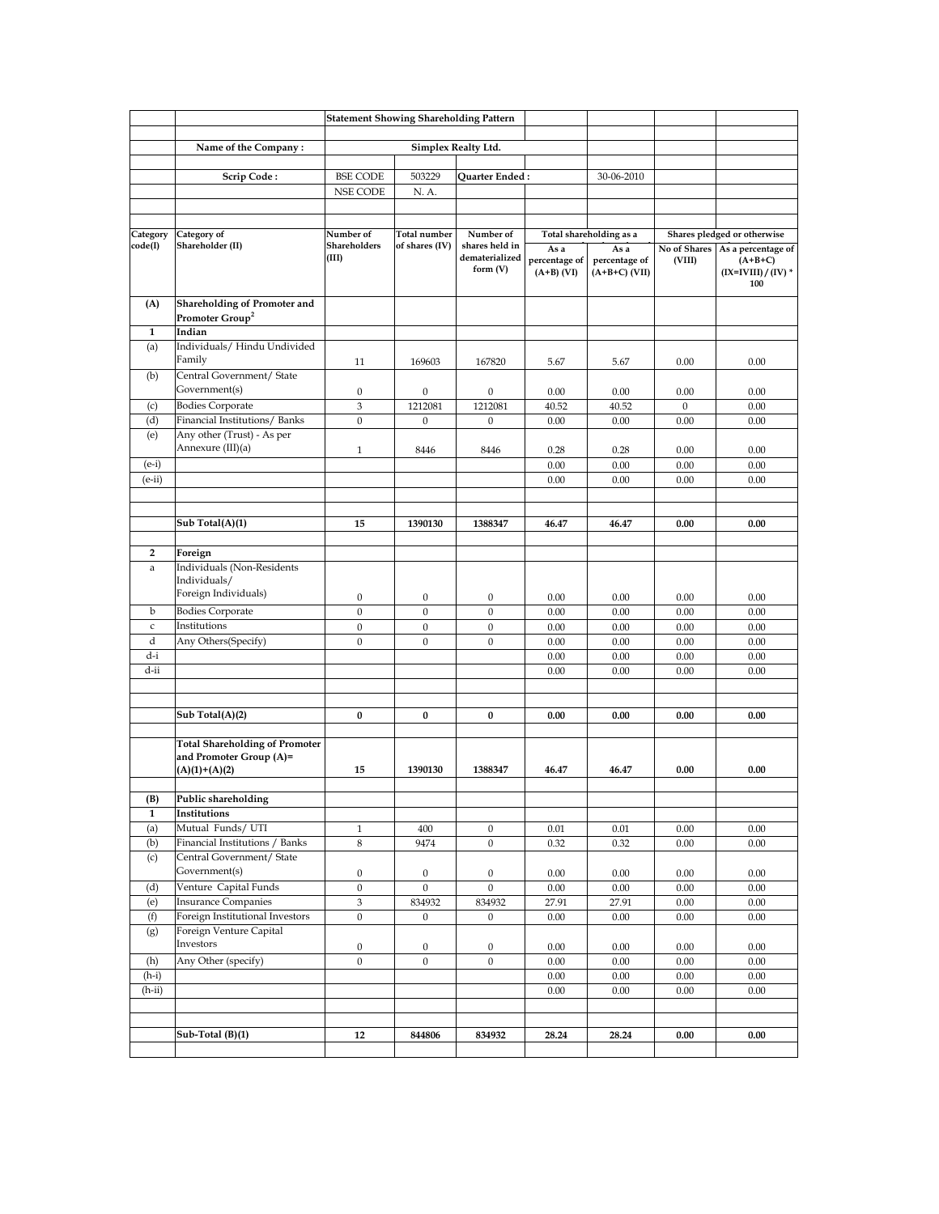|                     |                                                                  | <b>Statement Showing Shareholding Pattern</b> |                                       |                                  |                                       |                                          |                        |                                                                            |
|---------------------|------------------------------------------------------------------|-----------------------------------------------|---------------------------------------|----------------------------------|---------------------------------------|------------------------------------------|------------------------|----------------------------------------------------------------------------|
|                     |                                                                  | Simplex Realty Ltd.                           |                                       |                                  |                                       |                                          |                        |                                                                            |
|                     | Name of the Company:                                             |                                               |                                       |                                  |                                       |                                          |                        |                                                                            |
|                     | Scrip Code:                                                      | <b>BSE CODE</b>                               | 503229                                | Quarter Ended :                  |                                       | 30-06-2010                               |                        |                                                                            |
|                     |                                                                  | <b>NSE CODE</b>                               | N. A.                                 |                                  |                                       |                                          |                        |                                                                            |
|                     |                                                                  |                                               |                                       |                                  |                                       |                                          |                        |                                                                            |
|                     |                                                                  |                                               |                                       |                                  |                                       |                                          |                        |                                                                            |
| Category<br>code(I) | Category of<br>Shareholder (II)                                  | Number of<br>Shareholders                     | <b>Total number</b><br>of shares (IV) | Number of<br>shares held in      |                                       | Total shareholding as a                  |                        | Shares pledged or otherwise                                                |
|                     |                                                                  | (III)                                         |                                       | dematerialized<br>form $(V)$     | As a<br>percentage of<br>$(A+B)$ (VI) | As a<br>percentage of<br>$(A+B+C)$ (VII) | No of Shares<br>(VIII) | As a percentage of<br>$(A+B+C)$<br>$(IX=IVIII) / (IV)$ <sup>*</sup><br>100 |
| (A)                 | Shareholding of Promoter and<br>Promoter Group <sup>2</sup>      |                                               |                                       |                                  |                                       |                                          |                        |                                                                            |
| 1                   | Indian                                                           |                                               |                                       |                                  |                                       |                                          |                        |                                                                            |
| (a)                 | Individuals/ Hindu Undivided<br>Family                           | 11                                            | 169603                                | 167820                           | 5.67                                  | 5.67                                     | 0.00                   | 0.00                                                                       |
| (b)                 | Central Government/ State<br>Government(s)                       | $\mathbf{0}$                                  | $\boldsymbol{0}$                      | $\boldsymbol{0}$                 | 0.00                                  | 0.00                                     | 0.00                   | 0.00                                                                       |
| (c)                 | <b>Bodies Corporate</b>                                          | $\,$ 3 $\,$                                   | 1212081                               | 1212081                          | 40.52                                 | 40.52                                    | $\boldsymbol{0}$       | 0.00                                                                       |
| (d)                 | Financial Institutions/Banks                                     | $\boldsymbol{0}$                              | $\boldsymbol{0}$                      | $\boldsymbol{0}$                 | 0.00                                  | 0.00                                     | 0.00                   | 0.00                                                                       |
| (e)                 | Any other (Trust) - As per<br>Annexure (III)(a)                  | $\mathbf{1}$                                  | 8446                                  | 8446                             | 0.28                                  | 0.28                                     | 0.00                   | 0.00                                                                       |
| $(e-i)$             |                                                                  |                                               |                                       |                                  | 0.00                                  | 0.00                                     | 0.00                   | 0.00                                                                       |
| $(e-ii)$            |                                                                  |                                               |                                       |                                  | 0.00                                  | 0.00                                     | 0.00                   | 0.00                                                                       |
|                     |                                                                  |                                               |                                       |                                  |                                       |                                          |                        |                                                                            |
|                     | Sub Total(A)(1)                                                  | 15                                            | 1390130                               | 1388347                          | 46.47                                 | 46.47                                    | 0.00                   | 0.00                                                                       |
|                     |                                                                  |                                               |                                       |                                  |                                       |                                          |                        |                                                                            |
| 2                   | Foreign                                                          |                                               |                                       |                                  |                                       |                                          |                        |                                                                            |
| a                   | Individuals (Non-Residents<br>Individuals/                       |                                               |                                       |                                  |                                       |                                          |                        |                                                                            |
|                     | Foreign Individuals)                                             | $\boldsymbol{0}$                              | $\boldsymbol{0}$                      | $\mathbf{0}$                     | 0.00                                  | 0.00                                     | 0.00                   | 0.00                                                                       |
| b<br>$\mathsf{C}$   | <b>Bodies Corporate</b><br>Institutions                          | $\boldsymbol{0}$                              | $\mathbf{0}$<br>$\boldsymbol{0}$      | $\boldsymbol{0}$                 | 0.00                                  | 0.00                                     | 0.00                   | 0.00                                                                       |
| d                   | Any Others(Specify)                                              | $\boldsymbol{0}$<br>$\mathbf{0}$              | $\mathbf{0}$                          | $\boldsymbol{0}$<br>$\mathbf{0}$ | 0.00<br>0.00                          | 0.00<br>0.00                             | 0.00<br>0.00           | 0.00<br>0.00                                                               |
| d-i                 |                                                                  |                                               |                                       |                                  | 0.00                                  | 0.00                                     | 0.00                   | 0.00                                                                       |
| d-ii                |                                                                  |                                               |                                       |                                  | 0.00                                  | 0.00                                     | 0.00                   | 0.00                                                                       |
|                     |                                                                  |                                               |                                       |                                  |                                       |                                          |                        |                                                                            |
|                     |                                                                  |                                               |                                       |                                  |                                       |                                          |                        |                                                                            |
|                     | Sub Total(A)(2)                                                  | $\bf{0}$                                      | 0                                     | 0                                | 0.00                                  | 0.00                                     | 0.00                   | 0.00                                                                       |
|                     | <b>Total Shareholding of Promoter</b><br>and Promoter Group (A)= |                                               |                                       |                                  |                                       |                                          |                        |                                                                            |
|                     | $(A)(1)+(A)(2)$                                                  | 15                                            | 1390130                               | 1388347                          | 46.47                                 | 46.47                                    | 0.00                   | 0.00                                                                       |
| (B)                 | Public shareholding                                              |                                               |                                       |                                  |                                       |                                          |                        |                                                                            |
| $\mathbf{1}$        | Institutions                                                     |                                               |                                       |                                  |                                       |                                          |                        |                                                                            |
| (a)                 | Mutual Funds/ UTI                                                | $\mathbf{1}$                                  | 400                                   | $\boldsymbol{0}$                 | 0.01                                  | 0.01                                     | $0.00\,$               | $0.00\,$                                                                   |
| (b)<br>(c)          | Financial Institutions / Banks<br>Central Government/ State      | $\,8\,$                                       | 9474                                  | $\boldsymbol{0}$                 | 0.32                                  | 0.32                                     | 0.00                   | 0.00                                                                       |
|                     | Government(s)                                                    | $\mathbf{0}$                                  | $\boldsymbol{0}$                      | $\mathbf{0}$                     | $0.00\,$                              | 0.00                                     | 0.00                   | 0.00                                                                       |
| (d)                 | Venture Capital Funds                                            | $\boldsymbol{0}$                              | $\mathbf{0}$                          | $\boldsymbol{0}$                 | $0.00\,$                              | 0.00                                     | 0.00                   | $0.00\,$                                                                   |
| (e)                 | <b>Insurance Companies</b>                                       | $\,3$                                         | 834932                                | 834932                           | 27.91                                 | 27.91                                    | 0.00                   | 0.00                                                                       |
| (f)                 | Foreign Institutional Investors                                  | $\mathbf{0}$                                  | $\boldsymbol{0}$                      | $\boldsymbol{0}$                 | 0.00                                  | 0.00                                     | 0.00                   | 0.00                                                                       |
| (g)                 | Foreign Venture Capital<br>Investors                             | $\mathbf{0}$                                  | $\boldsymbol{0}$                      | $\mathbf{0}$                     |                                       | 0.00                                     | 0.00                   | 0.00                                                                       |
| (h)                 | Any Other (specify)                                              | $\boldsymbol{0}$                              | $\boldsymbol{0}$                      | $\boldsymbol{0}$                 | 0.00<br>$0.00\,$                      | 0.00                                     | 0.00                   | $0.00\,$                                                                   |
| $(h-i)$             |                                                                  |                                               |                                       |                                  | 0.00                                  | 0.00                                     | 0.00                   | 0.00                                                                       |
| $(h-ii)$            |                                                                  |                                               |                                       |                                  | 0.00                                  | 0.00                                     | 0.00                   | 0.00                                                                       |
|                     |                                                                  |                                               |                                       |                                  |                                       |                                          |                        |                                                                            |
|                     |                                                                  |                                               |                                       |                                  |                                       |                                          |                        |                                                                            |
|                     | Sub-Total (B)(1)                                                 | 12                                            | 844806                                | 834932                           | 28.24                                 | 28.24                                    | 0.00                   | 0.00                                                                       |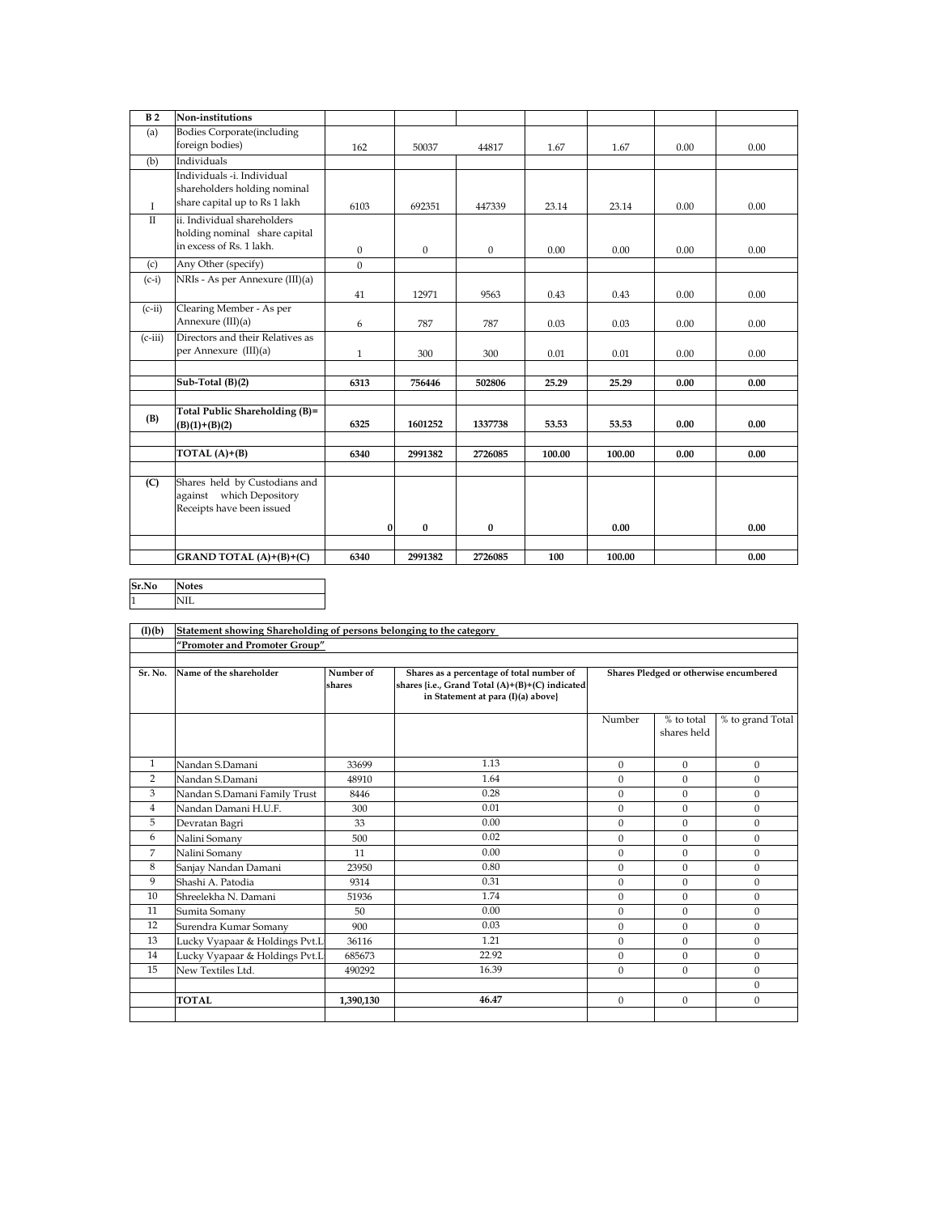| B <sub>2</sub> | Non-institutions                                                                            |              |              |              |        |        |      |      |
|----------------|---------------------------------------------------------------------------------------------|--------------|--------------|--------------|--------|--------|------|------|
| (a)            | <b>Bodies Corporate</b> (including<br>foreign bodies)                                       | 162          | 50037        | 44817        | 1.67   | 1.67   | 0.00 | 0.00 |
| (b)            | Individuals                                                                                 |              |              |              |        |        |      |      |
| $\mathbf{I}$   | Individuals -i. Individual<br>shareholders holding nominal<br>share capital up to Rs 1 lakh | 6103         | 692351       | 447339       | 23.14  | 23.14  | 0.00 | 0.00 |
| $\mathbf{H}$   | ii. Individual shareholders<br>holding nominal share capital<br>in excess of Rs. 1 lakh.    | $\mathbf{0}$ | $\mathbf{0}$ | $\mathbf{0}$ | 0.00   | 0.00   | 0.00 | 0.00 |
| (c)            | Any Other (specify)                                                                         | $\Omega$     |              |              |        |        |      |      |
| $(c-i)$        | NRIs - As per Annexure (III)(a)                                                             | 41           | 12971        | 9563         | 0.43   | 0.43   | 0.00 | 0.00 |
| $(c-ii)$       | Clearing Member - As per<br>Annexure (III)(a)                                               | 6            | 787          | 787          | 0.03   | 0.03   | 0.00 | 0.00 |
| $(c-iii)$      | Directors and their Relatives as<br>per Annexure (III)(a)                                   | $\mathbf{1}$ | 300          | 300          | 0.01   | 0.01   | 0.00 | 0.00 |
|                |                                                                                             |              |              |              |        |        |      |      |
|                | Sub-Total (B)(2)                                                                            | 6313         | 756446       | 502806       | 25.29  | 25.29  | 0.00 | 0.00 |
| (B)            | Total Public Shareholding (B)=<br>$(B)(1)+(B)(2)$                                           | 6325         | 1601252      | 1337738      | 53.53  | 53.53  | 0.00 | 0.00 |
|                | TOTAL $(A)+(B)$                                                                             | 6340         | 2991382      | 2726085      | 100.00 | 100.00 | 0.00 | 0.00 |
|                |                                                                                             |              |              |              |        |        |      |      |
| (C)            | Shares held by Custodians and<br>against which Depository<br>Receipts have been issued      |              |              |              |        |        |      |      |
|                |                                                                                             | $\bf{0}$     | $\bf{0}$     | $\bf{0}$     |        | 0.00   |      | 0.00 |
|                | GRAND TOTAL $(A)+(B)+(C)$                                                                   | 6340         | 2991382      | 2726085      | 100    | 100.00 |      | 0.00 |

**Sr.No Notes**

1 NIL

| (I)(b)         | Statement showing Shareholding of persons belonging to the category |                     |                                                                                                                                    |              |                                        |                  |  |  |
|----------------|---------------------------------------------------------------------|---------------------|------------------------------------------------------------------------------------------------------------------------------------|--------------|----------------------------------------|------------------|--|--|
|                | "Promoter and Promoter Group"                                       |                     |                                                                                                                                    |              |                                        |                  |  |  |
|                |                                                                     |                     |                                                                                                                                    |              |                                        |                  |  |  |
| Sr. No.        | Name of the shareholder                                             | Number of<br>shares | Shares as a percentage of total number of<br>shares {i.e., Grand Total (A)+(B)+(C) indicated<br>in Statement at para (I)(a) above} |              | Shares Pledged or otherwise encumbered |                  |  |  |
|                |                                                                     |                     |                                                                                                                                    | Number       | % to total<br>shares held              | % to grand Total |  |  |
| $\mathbf{1}$   | Nandan S.Damani                                                     | 33699               | 1.13                                                                                                                               | $\Omega$     | $\Omega$                               | $\mathbf{0}$     |  |  |
| 2              | Nandan S.Damani                                                     | 48910               | 1.64                                                                                                                               | $\Omega$     | $\Omega$                               | $\mathbf{0}$     |  |  |
| 3              | Nandan S.Damani Family Trust                                        | 8446                | 0.28                                                                                                                               | $\Omega$     | $\mathbf{0}$                           | $\overline{0}$   |  |  |
| $\overline{4}$ | Nandan Damani H.U.F.                                                | 300                 | 0.01                                                                                                                               | $\Omega$     | $\Omega$                               | $\mathbf{0}$     |  |  |
| 5              | Devratan Bagri                                                      | 33                  | 0.00                                                                                                                               | $\mathbf{0}$ | $\mathbf{0}$                           | $\overline{0}$   |  |  |
| 6              | Nalini Somany                                                       | 500                 | 0.02                                                                                                                               | $\Omega$     | $\Omega$                               | $\overline{0}$   |  |  |
| 7              | Nalini Somany                                                       | 11                  | 0.00                                                                                                                               | $\Omega$     | $\Omega$                               | $\mathbf{0}$     |  |  |
| 8              | Sanjay Nandan Damani                                                | 23950               | 0.80                                                                                                                               | $\Omega$     | $\Omega$                               | $\overline{0}$   |  |  |
| 9              | Shashi A. Patodia                                                   | 9314                | 0.31                                                                                                                               | $\Omega$     | $\Omega$                               | $\overline{0}$   |  |  |
| 10             | Shreelekha N. Damani                                                | 51936               | 1.74                                                                                                                               | $\Omega$     | $\mathbf{0}$                           | $\overline{0}$   |  |  |
| 11             | Sumita Somany                                                       | 50                  | 0.00                                                                                                                               | $\Omega$     | $\Omega$                               | $\mathbf{0}$     |  |  |
| 12             | Surendra Kumar Somany                                               | 900                 | 0.03                                                                                                                               | $\Omega$     | $\mathbf{0}$                           | $\overline{0}$   |  |  |
| 13             | Lucky Vyapaar & Holdings Pvt.L                                      | 36116               | 1.21                                                                                                                               | $\Omega$     | $\Omega$                               | $\overline{0}$   |  |  |
| 14             | Lucky Vyapaar & Holdings Pvt.L                                      | 685673              | 22.92                                                                                                                              | $\Omega$     | $\Omega$                               | $\mathbf{0}$     |  |  |
| 15             | New Textiles Ltd.                                                   | 490292              | 16.39                                                                                                                              | $\Omega$     | $\mathbf{0}$                           | $\mathbf{0}$     |  |  |
|                |                                                                     |                     |                                                                                                                                    |              |                                        | $\overline{0}$   |  |  |
|                | <b>TOTAL</b>                                                        | 1,390,130           | 46.47                                                                                                                              | $\Omega$     | $\mathbf{0}$                           | $\overline{0}$   |  |  |
|                |                                                                     |                     |                                                                                                                                    |              |                                        |                  |  |  |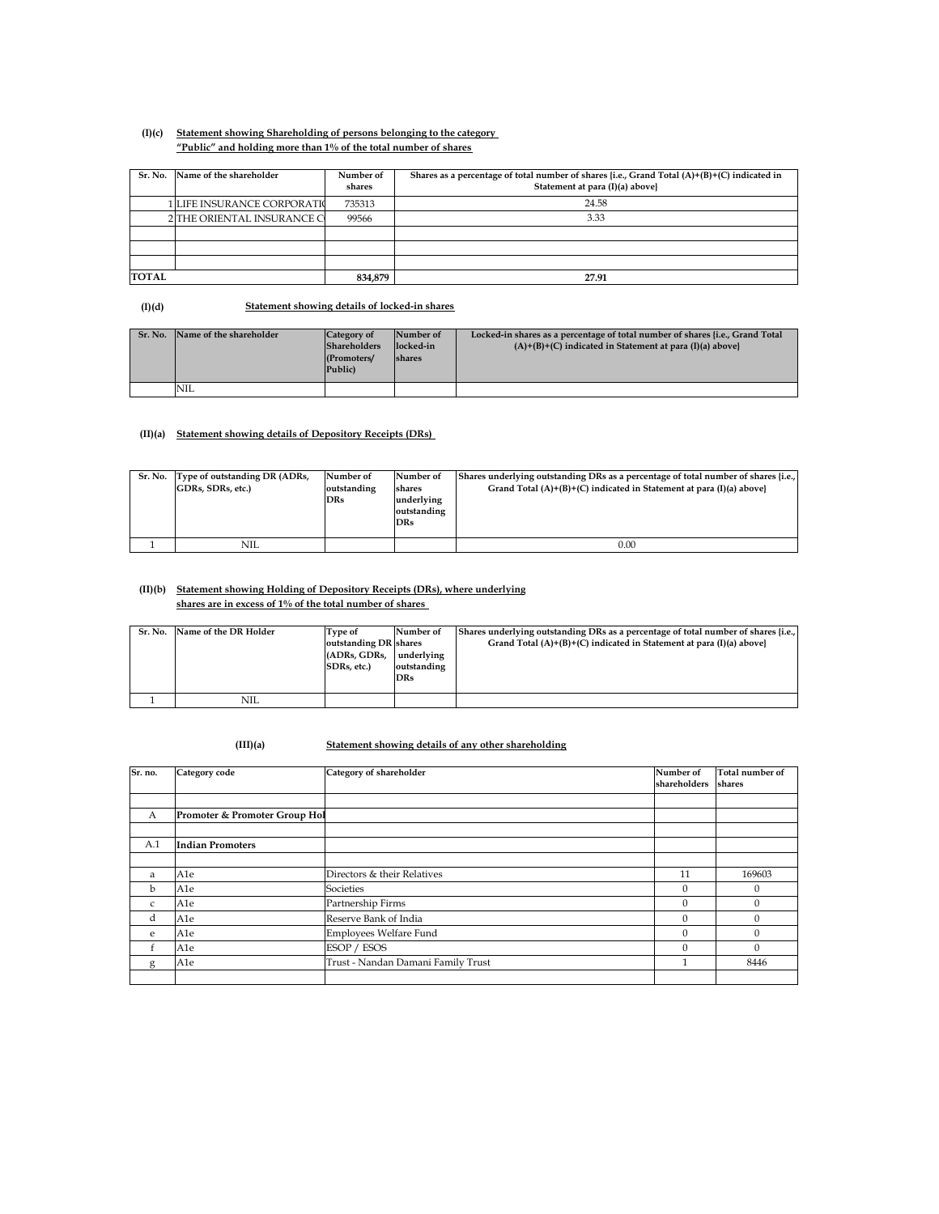## **(I)(c) Statement showing Shareholding of persons belonging to the category "Public" and holding more than 1% of the total number of shares**

| Sr. No.      | Name of the shareholder     | Number of<br>shares | Shares as a percentage of total number of shares {i.e., Grand Total $(A)+(B)+(C)$ indicated in<br>Statement at para (I)(a) above} |
|--------------|-----------------------------|---------------------|-----------------------------------------------------------------------------------------------------------------------------------|
|              | 1 LIFE INSURANCE CORPORATIO | 735313              | 24.58                                                                                                                             |
|              | 2 THE ORIENTAL INSURANCE C  | 99566               | 3.33                                                                                                                              |
|              |                             |                     |                                                                                                                                   |
|              |                             |                     |                                                                                                                                   |
|              |                             |                     |                                                                                                                                   |
| <b>TOTAL</b> |                             | 834,879             | 27.91                                                                                                                             |

**(I)(d) Statement showing details of locked-in shares**

| Sr. No. | Name of the shareholder | Category of<br><b>Shareholders</b><br>(Promoters/<br>Public) | Number of<br>locked-in<br>shares | Locked-in shares as a percentage of total number of shares {i.e., Grand Total<br>$(A)+(B)+(C)$ indicated in Statement at para $(I)(a)$ above |
|---------|-------------------------|--------------------------------------------------------------|----------------------------------|----------------------------------------------------------------------------------------------------------------------------------------------|
|         | 'NIL                    |                                                              |                                  |                                                                                                                                              |

## **(II)(a) Statement showing details of Depository Receipts (DRs)**

| Sr. No. | Type of outstanding DR (ADRs,<br>GDRs, SDRs, etc.) | Number of<br>outstanding<br><b>DRs</b> | Number of<br>shares<br>underlying<br>outstanding<br><b>DRs</b> | Shares underlying outstanding DRs as a percentage of total number of shares {i.e.,<br>Grand Total $(A)+(B)+(C)$ indicated in Statement at para $(I)(a)$ above |
|---------|----------------------------------------------------|----------------------------------------|----------------------------------------------------------------|---------------------------------------------------------------------------------------------------------------------------------------------------------------|
|         | NIL                                                |                                        |                                                                | 0.00                                                                                                                                                          |

## **(II)(b) Statement showing Holding of Depository Receipts (DRs), where underlying shares are in excess of 1% of the total number of shares**

| Sr. No. | Name of the DR Holder | Type of<br>outstanding DR shares<br>(ADRs, GDRs,<br>SDRs. etc.) | Number of<br>underlying<br>outstanding<br><b>DRs</b> | Shares underlying outstanding DRs as a percentage of total number of shares {i.e.,<br>Grand Total $(A)+(B)+(C)$ indicated in Statement at para $(I)(a)$ above |
|---------|-----------------------|-----------------------------------------------------------------|------------------------------------------------------|---------------------------------------------------------------------------------------------------------------------------------------------------------------|
|         | NIL                   |                                                                 |                                                      |                                                                                                                                                               |

## **(III)(a) Statement showing details of any other shareholding**

| Sr. no.      | Category code                 | Category of shareholder            | Number of<br>shareholders | Total number of<br>shares |
|--------------|-------------------------------|------------------------------------|---------------------------|---------------------------|
|              |                               |                                    |                           |                           |
|              |                               |                                    |                           |                           |
| A            | Promoter & Promoter Group Hol |                                    |                           |                           |
|              |                               |                                    |                           |                           |
| A.1          | <b>Indian Promoters</b>       |                                    |                           |                           |
|              |                               |                                    |                           |                           |
| a            | A1e                           | Directors & their Relatives        | 11                        | 169603                    |
| b            | A1e                           | Societies                          | $\Omega$                  | $\Omega$                  |
| $\mathsf{C}$ | A1e                           | Partnership Firms                  | $\mathbf{0}$              | $\mathbf{0}$              |
| d            | A1e                           | Reserve Bank of India              | $\Omega$                  | $\theta$                  |
| e            | A1e                           | Employees Welfare Fund             | $\mathbf{0}$              | $\mathbf{0}$              |
| t.           | A1e                           | ESOP / ESOS                        | $\Omega$                  | $\theta$                  |
| g            | A1e                           | Trust - Nandan Damani Family Trust | $\mathbf{1}$              | 8446                      |
|              |                               |                                    |                           |                           |